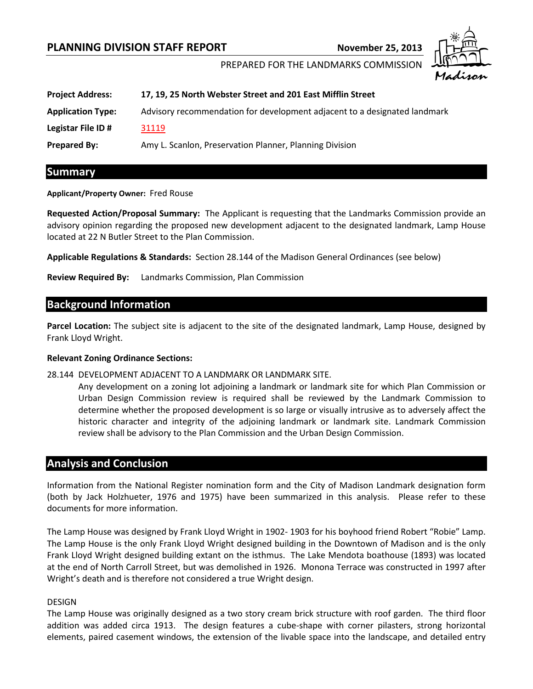# **PLANNING DIVISION STAFF REPORT NOVEMBER 25, 2013**



## PREPARED FOR THE LANDMARKS COMMISSION

| <b>Project Address:</b>  | 17, 19, 25 North Webster Street and 201 East Mifflin Street               |
|--------------------------|---------------------------------------------------------------------------|
| <b>Application Type:</b> | Advisory recommendation for development adjacent to a designated landmark |
| Legistar File ID #       | 31119                                                                     |
| <b>Prepared By:</b>      | Amy L. Scanlon, Preservation Planner, Planning Division                   |

## **Summary**

#### **Applicant/Property Owner:** Fred Rouse

**Requested Action/Proposal Summary:** The Applicant is requesting that the Landmarks Commission provide an advisory opinion regarding the proposed new development adjacent to the designated landmark, Lamp House located at 22 N Butler Street to the Plan Commission.

**Applicable Regulations & Standards:** Section 28.144 of the Madison General Ordinances (see below)

**Review Required By:** Landmarks Commission, Plan Commission

## **Background Information**

**Parcel Location:** The subject site is adjacent to the site of the designated landmark, Lamp House, designed by Frank Lloyd Wright.

#### **Relevant Zoning Ordinance Sections:**

28.144 DEVELOPMENT ADJACENT TO A LANDMARK OR LANDMARK SITE.

Any development on a zoning lot adjoining a landmark or landmark site for which Plan Commission or Urban Design Commission review is required shall be reviewed by the Landmark Commission to determine whether the proposed development is so large or visually intrusive as to adversely affect the historic character and integrity of the adjoining landmark or landmark site. Landmark Commission review shall be advisory to the Plan Commission and the Urban Design Commission.

### **Analysis and Conclusion**

Information from the National Register nomination form and the City of Madison Landmark designation form (both by Jack Holzhueter, 1976 and 1975) have been summarized in this analysis. Please refer to these documents for more information.

The Lamp House was designed by Frank Lloyd Wright in 1902- 1903 for his boyhood friend Robert "Robie" Lamp. The Lamp House is the only Frank Lloyd Wright designed building in the Downtown of Madison and is the only Frank Lloyd Wright designed building extant on the isthmus. The Lake Mendota boathouse (1893) was located at the end of North Carroll Street, but was demolished in 1926. Monona Terrace was constructed in 1997 after Wright's death and is therefore not considered a true Wright design.

#### DESIGN

The Lamp House was originally designed as a two story cream brick structure with roof garden. The third floor addition was added circa 1913. The design features a cube-shape with corner pilasters, strong horizontal elements, paired casement windows, the extension of the livable space into the landscape, and detailed entry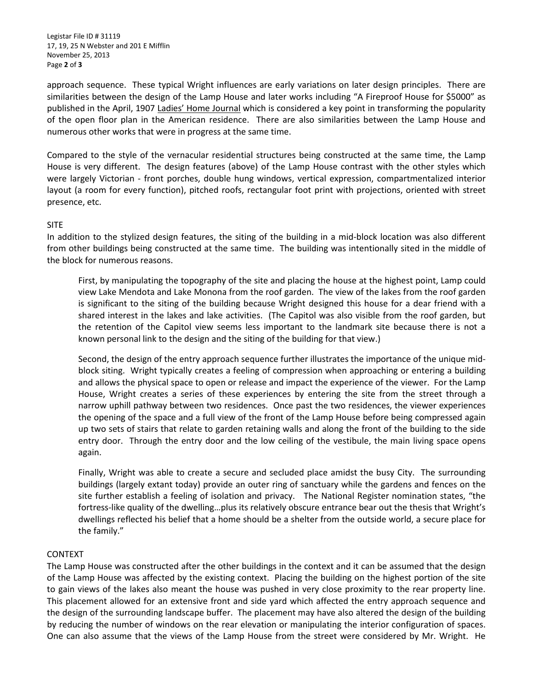Legistar File ID # 31119 17, 19, 25 N Webster and 201 E Mifflin November 25, 2013 Page **2** of **3**

approach sequence. These typical Wright influences are early variations on later design principles. There are similarities between the design of the Lamp House and later works including "A Fireproof House for \$5000" as published in the April, 1907 Ladies' Home Journal which is considered a key point in transforming the popularity of the open floor plan in the American residence. There are also similarities between the Lamp House and numerous other works that were in progress at the same time.

Compared to the style of the vernacular residential structures being constructed at the same time, the Lamp House is very different. The design features (above) of the Lamp House contrast with the other styles which were largely Victorian - front porches, double hung windows, vertical expression, compartmentalized interior layout (a room for every function), pitched roofs, rectangular foot print with projections, oriented with street presence, etc.

#### SITE

In addition to the stylized design features, the siting of the building in a mid-block location was also different from other buildings being constructed at the same time. The building was intentionally sited in the middle of the block for numerous reasons.

First, by manipulating the topography of the site and placing the house at the highest point, Lamp could view Lake Mendota and Lake Monona from the roof garden. The view of the lakes from the roof garden is significant to the siting of the building because Wright designed this house for a dear friend with a shared interest in the lakes and lake activities. (The Capitol was also visible from the roof garden, but the retention of the Capitol view seems less important to the landmark site because there is not a known personal link to the design and the siting of the building for that view.)

Second, the design of the entry approach sequence further illustrates the importance of the unique midblock siting. Wright typically creates a feeling of compression when approaching or entering a building and allows the physical space to open or release and impact the experience of the viewer. For the Lamp House, Wright creates a series of these experiences by entering the site from the street through a narrow uphill pathway between two residences. Once past the two residences, the viewer experiences the opening of the space and a full view of the front of the Lamp House before being compressed again up two sets of stairs that relate to garden retaining walls and along the front of the building to the side entry door. Through the entry door and the low ceiling of the vestibule, the main living space opens again.

Finally, Wright was able to create a secure and secluded place amidst the busy City. The surrounding buildings (largely extant today) provide an outer ring of sanctuary while the gardens and fences on the site further establish a feeling of isolation and privacy. The National Register nomination states, "the fortress-like quality of the dwelling…plus its relatively obscure entrance bear out the thesis that Wright's dwellings reflected his belief that a home should be a shelter from the outside world, a secure place for the family."

#### CONTEXT

The Lamp House was constructed after the other buildings in the context and it can be assumed that the design of the Lamp House was affected by the existing context. Placing the building on the highest portion of the site to gain views of the lakes also meant the house was pushed in very close proximity to the rear property line. This placement allowed for an extensive front and side yard which affected the entry approach sequence and the design of the surrounding landscape buffer. The placement may have also altered the design of the building by reducing the number of windows on the rear elevation or manipulating the interior configuration of spaces. One can also assume that the views of the Lamp House from the street were considered by Mr. Wright. He